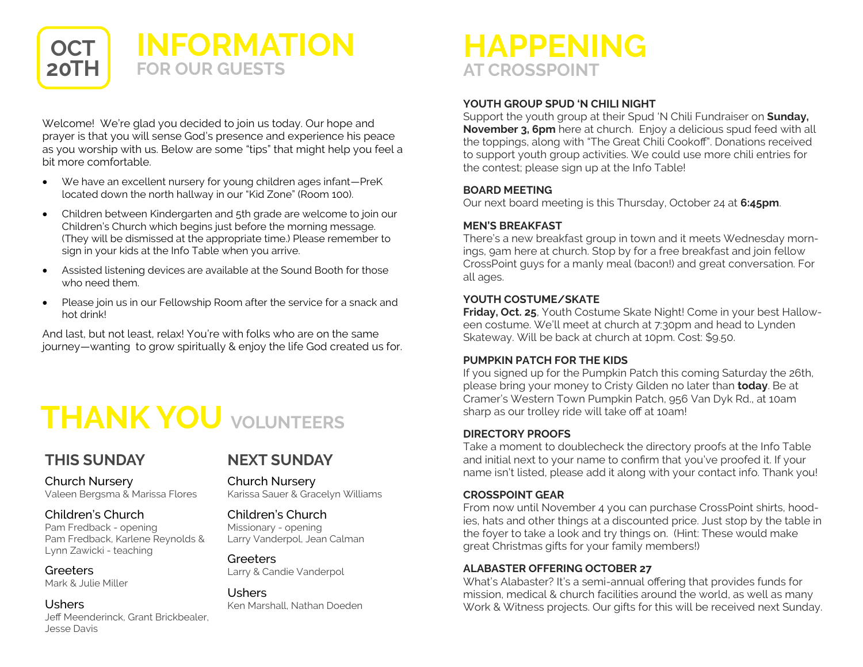

Welcome! We're glad you decided to join us today. Our hope and prayer is that you will sense God's presence and experience his peace as you worship with us. Below are some "tips" that might help you feel a bit more comfortable.

- We have an excellent nursery for young children ages infant—PreK located down the north hallway in our "Kid Zone" (Room 100).
- Children between Kindergarten and 5th grade are welcome to join our Children's Church which begins just before the morning message. (They will be dismissed at the appropriate time.) Please remember to sign in your kids at the Info Table when you arrive.
- Assisted listening devices are available at the Sound Booth for those who need them.
- Please join us in our Fellowship Room after the service for a snack and hot drink!

And last, but not least, relax! You're with folks who are on the same journey—wanting to grow spiritually & enjoy the life God created us for.

# **THANK YOU VOLUNTEERS**

#### **THIS SUNDAY**

Church Nursery

### **NEXT SUNDAY**

Church Nursery

#### Children's Church

Pam Fredback - opening Pam Fredback, Karlene Reynolds & Lynn Zawicki - teaching

Valeen Bergsma & Marissa Flores

**Greeters** Mark & Julie Miller

Ushers Jeff Meenderinck, Grant Brickbealer, Jesse Davis

Karissa Sauer & Gracelyn Williams

#### Children's Church Missionary - opening Larry Vanderpol, Jean Calman

**Greeters** Larry & Candie Vanderpol

Ushers Ken Marshall, Nathan Doeden

### **HAPPENING AT CROSSPOINT**

#### **YOUTH GROUP SPUD 'N CHILI NIGHT**

Support the youth group at their Spud 'N Chili Fundraiser on **Sunday, November 3, 6pm** here at church. Enjoy a delicious spud feed with all the toppings, along with "The Great Chili Cookoff". Donations received to support youth group activities. We could use more chili entries for the contest; please sign up at the Info Table!

#### **BOARD MEETING**

Our next board meeting is this Thursday, October 24 at **6:45pm**.

#### **MEN'S BREAKFAST**

There's a new breakfast group in town and it meets Wednesday mornings, 9am here at church. Stop by for a free breakfast and join fellow CrossPoint guys for a manly meal (bacon!) and great conversation. For all ages.

#### **YOUTH COSTUME/SKATE**

**Friday, Oct. 25**, Youth Costume Skate Night! Come in your best Halloween costume. We'll meet at church at 7:30pm and head to Lynden Skateway. Will be back at church at 10pm. Cost: \$9.50.

#### **PUMPKIN PATCH FOR THE KIDS**

If you signed up for the Pumpkin Patch this coming Saturday the 26th, please bring your money to Cristy Gilden no later than **today**. Be at Cramer's Western Town Pumpkin Patch, 956 Van Dyk Rd., at 10am sharp as our trolley ride will take off at 10am!

#### **DIRECTORY PROOFS**

Take a moment to doublecheck the directory proofs at the Info Table and initial next to your name to confirm that you've proofed it. If your name isn't listed, please add it along with your contact info. Thank you!

#### **CROSSPOINT GEAR**

From now until November 4 you can purchase CrossPoint shirts, hoodies, hats and other things at a discounted price. Just stop by the table in the foyer to take a look and try things on. (Hint: These would make great Christmas gifts for your family members!)

#### **ALABASTER OFFERING OCTOBER 27**

What's Alabaster? It's a semi-annual offering that provides funds for mission, medical & church facilities around the world, as well as many Work & Witness projects. Our gifts for this will be received next Sunday.